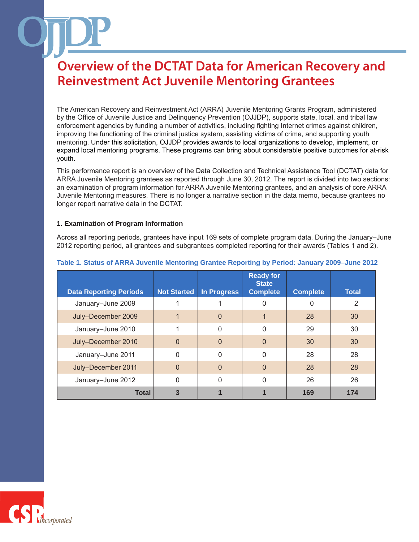The American Recovery and Reinvestment Act (ARRA) Juvenile Mentoring Grants Program, administered by the Office of Juvenile Justice and Delinquency Prevention (OJJDP), supports state, local, and tribal law enforcement agencies by funding a number of activities, including fighting Internet crimes against children, improving the functioning of the criminal justice system, assisting victims of crime, and supporting youth mentoring. Under this solicitation, OJJDP provides awards to local organizations to develop, implement, or expand local mentoring programs. These programs can bring about considerable positive outcomes for at-risk youth.

This performance report is an overview of the Data Collection and Technical Assistance Tool (DCTAT) data for ARRA Juvenile Mentoring grantees as reported through June 30, 2012. The report is divided into two sections: an examination of program information for ARRA Juvenile Mentoring grantees, and an analysis of core ARRA Juvenile Mentoring measures. There is no longer a narrative section in the data memo, because grantees no longer report narrative data in the DCTAT.

### **1. Examination of Program Information**

Across all reporting periods, grantees have input 169 sets of complete program data. During the January–June 2012 reporting period, all grantees and subgrantees completed reporting for their awards (Tables 1 and 2).

| <b>Data Reporting Periods</b> | <b>Not Started</b> | <b>In Progress</b> | <b>Ready for</b><br><b>State</b><br><b>Complete</b> | <b>Complete</b> | <b>Total</b> |
|-------------------------------|--------------------|--------------------|-----------------------------------------------------|-----------------|--------------|
| January-June 2009             |                    |                    | 0                                                   | $\Omega$        | 2            |
| July-December 2009            |                    | $\mathbf 0$        |                                                     | 28              | 30           |
| January-June 2010             |                    | $\mathbf{0}$       | $\Omega$                                            | 29              | 30           |
| July-December 2010            | $\overline{0}$     | $\Omega$           | $\overline{0}$                                      | 30              | 30           |
| January-June 2011             | $\Omega$           | $\mathbf{0}$       | $\Omega$                                            | 28              | 28           |
| July-December 2011            | $\Omega$           | $\Omega$           | $\overline{0}$                                      | 28              | 28           |
| January-June 2012             | 0                  | 0                  | $\Omega$                                            | 26              | 26           |
| <b>Total</b>                  | 3                  |                    |                                                     | 169             | 174          |

### **Table 1. Status of ARRA Juvenile Mentoring Grantee Reporting by Period: January 2009–June 2012**

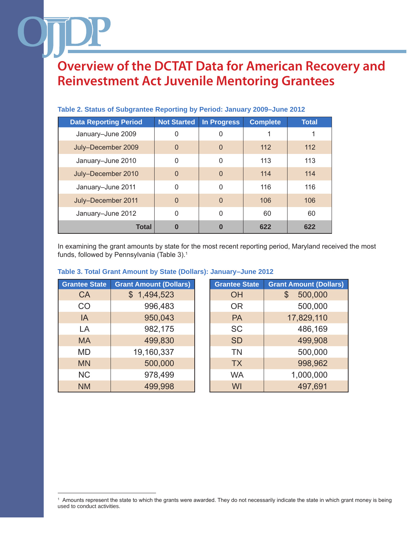| <b>Data Reporting Period</b> | <b>Not Started</b> | <b>In Progress</b> | <b>Complete</b> | <b>Total</b> |
|------------------------------|--------------------|--------------------|-----------------|--------------|
| January-June 2009            | 0                  | 0                  |                 |              |
| July-December 2009           | $\overline{0}$     | 0                  | 112             | 112          |
| January-June 2010            | 0                  | 0                  | 113             | 113          |
| July-December 2010           | $\overline{0}$     | $\mathbf{0}$       | 114             | 114          |
| January-June 2011            | $\Omega$           | $\Omega$           | 116             | 116          |
| July-December 2011           | $\overline{0}$     | $\overline{0}$     | 106             | 106          |
| January-June 2012            | $\Omega$           | 0                  | 60              | 60           |
| <b>Total</b>                 | 0                  | 0                  | 622             | 622          |

### **Table 2. Status of Subgrantee Reporting by Period: January 2009–June 2012**

In examining the grant amounts by state for the most recent reporting period, Maryland received the most funds, followed by Pennsylvania (Table 3).1

### **Table 3. Total Grant Amount by State (Dollars): January–June 2012**

| <b>Grantee State</b> | <b>Grant Amount (Dollars)</b> | <b>Grantee State</b> | <b>Grant Amount (Dollars)</b> |
|----------------------|-------------------------------|----------------------|-------------------------------|
| <b>CA</b>            | \$1,494,523                   | <b>OH</b>            | 500,000<br>\$                 |
| CO                   | 996,483                       | <b>OR</b>            | 500,000                       |
| IA                   | 950,043                       | <b>PA</b>            | 17,829,110                    |
| LA                   | 982,175                       | <b>SC</b>            | 486,169                       |
| <b>MA</b>            | 499,830                       | <b>SD</b>            | 499,908                       |
| <b>MD</b>            | 19,160,337                    | <b>TN</b>            | 500,000                       |
| <b>MN</b>            | 500,000                       | <b>TX</b>            | 998,962                       |
| <b>NC</b>            | 978,499                       | <b>WA</b>            | 1,000,000                     |
| <b>NM</b>            | 499,998                       | WI                   | 497,691                       |

<sup>1</sup> Amounts represent the state to which the grants were awarded. They do not necessarily indicate the state in which grant money is being used to conduct activities.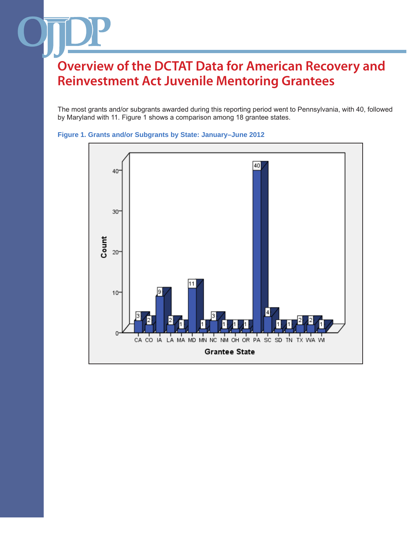The most grants and/or subgrants awarded during this reporting period went to Pennsylvania, with 40, followed by Maryland with 11. Figure 1 shows a comparison among 18 grantee states.



### **Figure 1. Grants and/or Subgrants by State: January–June 2012**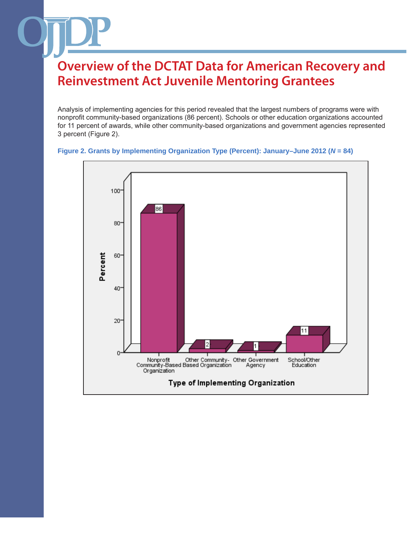Analysis of implementing agencies for this period revealed that the largest numbers of programs were with nonprofit community-based organizations (86 percent). Schools or other education organizations accounted for 11 percent of awards, while other community-based organizations and government agencies represented 3 percent (Figure 2).



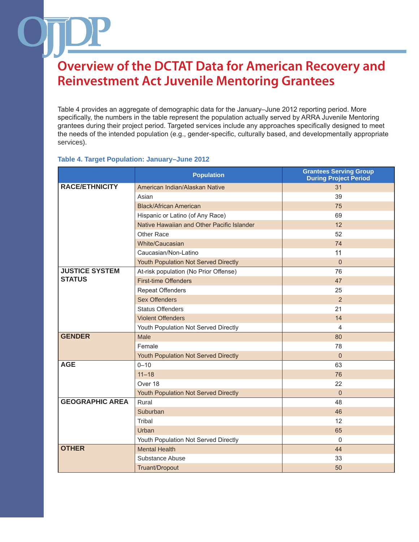Table 4 provides an aggregate of demographic data for the January–June 2012 reporting period. More specifically, the numbers in the table represent the population actually served by ARRA Juvenile Mentoring grantees during their project period. Targeted services include any approaches specifically designed to meet the needs of the intended population (e.g., gender-specific, culturally based, and developmentally appropriate services).

### **Table 4. Target Population: January–June 2012**

|                        | <b>Population</b>                          | <b>Grantees Serving Group</b><br><b>During Project Period</b> |
|------------------------|--------------------------------------------|---------------------------------------------------------------|
| <b>RACE/ETHNICITY</b>  | American Indian/Alaskan Native             | 31                                                            |
|                        | Asian                                      | 39                                                            |
|                        | <b>Black/African American</b>              | 75                                                            |
|                        | Hispanic or Latino (of Any Race)           | 69                                                            |
|                        | Native Hawaiian and Other Pacific Islander | 12                                                            |
|                        | Other Race                                 | 52                                                            |
|                        | White/Caucasian                            | 74                                                            |
|                        | Caucasian/Non-Latino                       | 11                                                            |
|                        | Youth Population Not Served Directly       | $\Omega$                                                      |
| <b>JUSTICE SYSTEM</b>  | At-risk population (No Prior Offense)      | 76                                                            |
| <b>STATUS</b>          | <b>First-time Offenders</b>                | 47                                                            |
|                        | <b>Repeat Offenders</b>                    | 25                                                            |
|                        | <b>Sex Offenders</b>                       | 2                                                             |
|                        | <b>Status Offenders</b>                    | 21                                                            |
|                        | <b>Violent Offenders</b>                   | 14                                                            |
|                        | Youth Population Not Served Directly       | 4                                                             |
| <b>GENDER</b>          | Male                                       | 80                                                            |
|                        | Female                                     | 78                                                            |
|                        | Youth Population Not Served Directly       | $\mathbf{0}$                                                  |
| <b>AGE</b>             | $0 - 10$                                   | 63                                                            |
|                        | $11 - 18$                                  | 76                                                            |
|                        | Over 18                                    | 22                                                            |
|                        | Youth Population Not Served Directly       | $\Omega$                                                      |
| <b>GEOGRAPHIC AREA</b> | Rural                                      | 48                                                            |
|                        | Suburban                                   | 46                                                            |
|                        | Tribal                                     | 12                                                            |
|                        | Urban                                      | 65                                                            |
|                        | Youth Population Not Served Directly       | $\mathbf{0}$                                                  |
| <b>OTHER</b>           | <b>Mental Health</b>                       | 44                                                            |
|                        | Substance Abuse                            | 33                                                            |
|                        | Truant/Dropout                             | 50                                                            |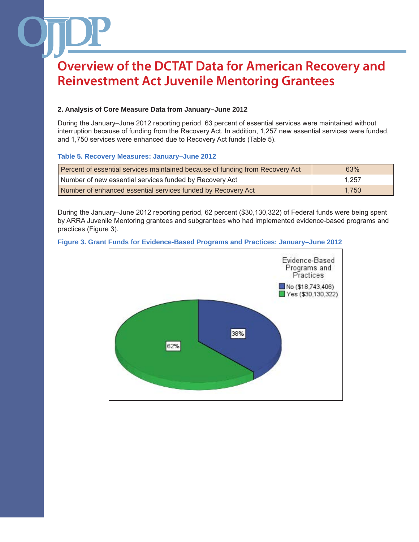## **2. Analysis of Core Measure Data from January–June 2012**

During the January–June 2012 reporting period, 63 percent of essential services were maintained without interruption because of funding from the Recovery Act. In addition, 1,257 new essential services were funded, and 1,750 services were enhanced due to Recovery Act funds (Table 5).

## **Table 5. Recovery Measures: January–June 2012**

| Percent of essential services maintained because of funding from Recovery Act | 63%   |
|-------------------------------------------------------------------------------|-------|
| Number of new essential services funded by Recovery Act                       | 1.257 |
| Number of enhanced essential services funded by Recovery Act                  | 1.750 |

During the January–June 2012 reporting period, 62 percent (\$30,130,322) of Federal funds were being spent by ARRA Juvenile Mentoring grantees and subgrantees who had implemented evidence-based programs and practices (Figure 3).



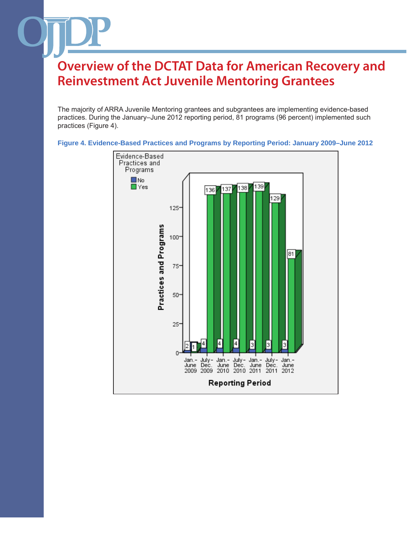The majority of ARRA Juvenile Mentoring grantees and subgrantees are implementing evidence-based practices. During the January–June 2012 reporting period, 81 programs (96 percent) implemented such practices (Figure 4).



**Figure 4. Evidence-Based Practices and Programs by Reporting Period: January 2009–June 2012**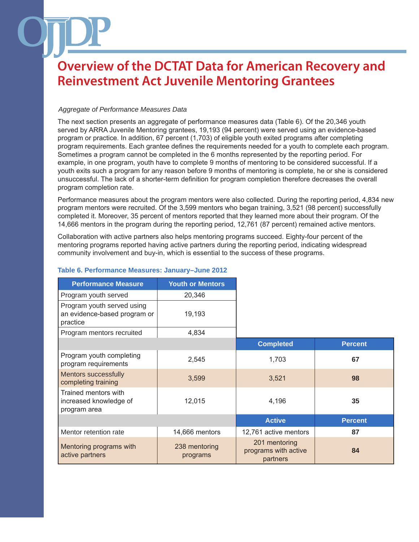## *Aggregate of Performance Measures Data*

The next section presents an aggregate of performance measures data (Table 6). Of the 20,346 youth served by ARRA Juvenile Mentoring grantees, 19,193 (94 percent) were served using an evidence-based program or practice. In addition, 67 percent (1,703) of eligible youth exited programs after completing program requirements. Each grantee defines the requirements needed for a youth to complete each program. Sometimes a program cannot be completed in the 6 months represented by the reporting period. For example, in one program, youth have to complete 9 months of mentoring to be considered successful. If a youth exits such a program for any reason before 9 months of mentoring is complete, he or she is considered unsuccessful. The lack of a shorter-term definition for program completion therefore decreases the overall program completion rate.

Performance measures about the program mentors were also collected. During the reporting period, 4,834 new program mentors were recruited. Of the 3,599 mentors who began training, 3,521 (98 percent) successfully completed it. Moreover, 35 percent of mentors reported that they learned more about their program. Of the 14,666 mentors in the program during the reporting period, 12,761 (87 percent) remained active mentors.

Collaboration with active partners also helps mentoring programs succeed. Eighty-four percent of the mentoring programs reported having active partners during the reporting period, indicating widespread community involvement and buy-in, which is essential to the success of these programs.

| <b>Performance Measure</b>                                             | <b>Youth or Mentors</b>   |                                                   |                |
|------------------------------------------------------------------------|---------------------------|---------------------------------------------------|----------------|
| Program youth served                                                   | 20,346                    |                                                   |                |
| Program youth served using<br>an evidence-based program or<br>practice | 19,193                    |                                                   |                |
| Program mentors recruited                                              | 4,834                     |                                                   |                |
|                                                                        |                           | <b>Completed</b>                                  | <b>Percent</b> |
| Program youth completing<br>program requirements                       | 2,545                     | 1,703                                             | 67             |
| <b>Mentors successfully</b><br>completing training                     | 3,599                     | 3,521                                             | 98             |
| Trained mentors with<br>increased knowledge of<br>program area         | 12,015                    | 4,196                                             | 35             |
|                                                                        |                           | <b>Active</b>                                     | <b>Percent</b> |
| Mentor retention rate                                                  | 14,666 mentors            | 12,761 active mentors                             | 87             |
| Mentoring programs with<br>active partners                             | 238 mentoring<br>programs | 201 mentoring<br>programs with active<br>partners | 84             |

## **Table 6. Performance Measures: January–June 2012**